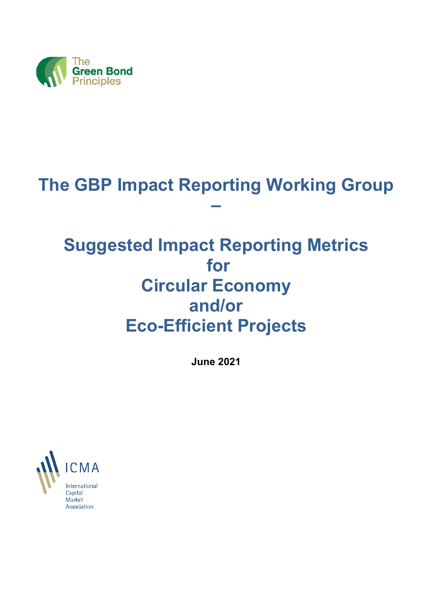

# **The GBP Impact Reporting Working Group**

**–**

# **Suggested Impact Reporting Metrics for Circular Economy and/or Eco-Efficient Projects**

**June 2021**



Association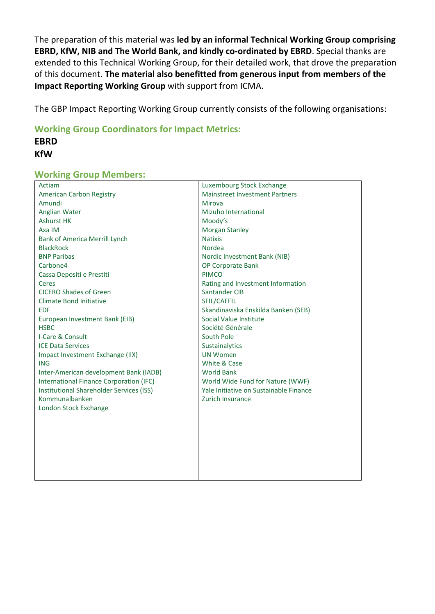The preparation of this material was **led by an informal Technical Working Group comprising EBRD, KfW, NIB and The World Bank, and kindly co-ordinated by EBRD**. Special thanks are extended to this Technical Working Group, for their detailed work, that drove the preparation of this document. **The material also benefitted from generous input from members of the Impact Reporting Working Group** with support from ICMA.

The GBP Impact Reporting Working Group currently consists of the following organisations:

**Working Group Coordinators for Impact Metrics:**

# **EBRD KfW**

# **Working Group Members:**

| Actiam                                   | Luxembourg Stock Exchange              |
|------------------------------------------|----------------------------------------|
| American Carbon Registry                 | <b>Mainstreet Investment Partners</b>  |
| Amundi                                   | Mirova                                 |
| Anglian Water                            | Mizuho International                   |
| <b>Ashurst HK</b>                        | Moody's                                |
| Axa IM                                   | <b>Morgan Stanley</b>                  |
| <b>Bank of America Merrill Lynch</b>     | <b>Natixis</b>                         |
| <b>BlackRock</b>                         | Nordea                                 |
| <b>BNP Paribas</b>                       | Nordic Investment Bank (NIB)           |
| Carbone4                                 | OP Corporate Bank                      |
| Cassa Depositi e Prestiti                | <b>PIMCO</b>                           |
| Ceres                                    | Rating and Investment Information      |
| <b>CICERO Shades of Green</b>            | Santander CIB                          |
| <b>Climate Bond Initiative</b>           | SFIL/CAFFIL                            |
| <b>EDF</b>                               | Skandinaviska Enskilda Banken (SEB)    |
| European Investment Bank (EIB)           | Social Value Institute                 |
| <b>HSBC</b>                              | Société Générale                       |
| I-Care & Consult                         | South Pole                             |
| <b>ICE Data Services</b>                 | Sustainalytics                         |
| Impact Investment Exchange (IIX)         | <b>UN Women</b>                        |
| <b>ING</b>                               | White & Case                           |
| Inter-American development Bank (IADB)   | <b>World Bank</b>                      |
| International Finance Corporation (IFC)  | World Wide Fund for Nature (WWF)       |
| Institutional Shareholder Services (ISS) | Yale Initiative on Sustainable Finance |
| Kommunalbanken                           | Zurich Insurance                       |
| London Stock Exchange                    |                                        |
|                                          |                                        |
|                                          |                                        |
|                                          |                                        |
|                                          |                                        |
|                                          |                                        |
|                                          |                                        |
|                                          |                                        |
|                                          |                                        |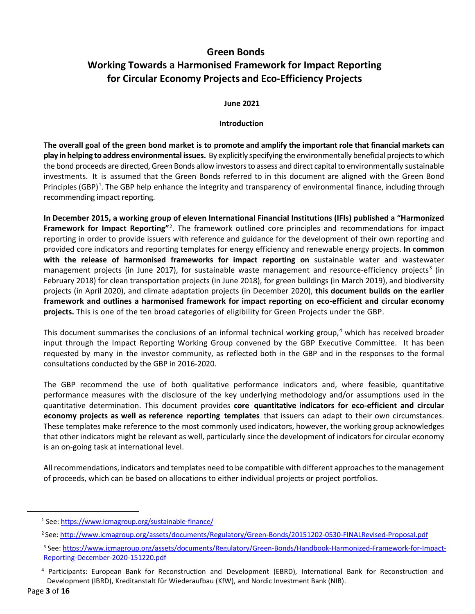# **Green Bonds**

# **Working Towards a Harmonised Framework for Impact Reporting for Circular Economy Projects and Eco-Efficiency Projects**

#### **June 2021**

#### **Introduction**

**The overall goal of the green bond market is to promote and amplify the important role that financial markets can play in helping to address environmental issues.** By explicitly specifying the environmentally beneficial projects to which the bond proceeds are directed, Green Bonds allow investors to assess and direct capital to environmentally sustainable investments. It is assumed that the Green Bonds referred to in this document are aligned with the Green Bond Principles (GBP)<sup>[1](#page-2-0)</sup>. The GBP help enhance the integrity and transparency of environmental finance, including through recommending impact reporting.

**In December 2015, a working group of eleven International Financial Institutions (IFIs) published a "Harmonized**  Framework for Impact Reporting"<sup>[2](#page-2-1)</sup>. The framework outlined core principles and recommendations for impact reporting in order to provide issuers with reference and guidance for the development of their own reporting and provided core indicators and reporting templates for energy efficiency and renewable energy projects. **In common with the release of harmonised frameworks for impact reporting on** sustainable water and wastewater management projects (in June 2017), for sustainable waste management and resource-efficiency projects<sup>[3](#page-2-2)</sup> (in February 2018) for clean transportation projects (in June 2018), for green buildings (in March 2019), and biodiversity projects (in April 2020), and climate adaptation projects (in December 2020), **this document builds on the earlier framework and outlines a harmonised framework for impact reporting on eco-efficient and circular economy projects.** This is one of the ten broad categories of eligibility for Green Projects under the GBP.

This document summarises the conclusions of an informal technical working group,<sup>[4](#page-2-3)</sup> which has received broader input through the Impact Reporting Working Group convened by the GBP Executive Committee. It has been requested by many in the investor community, as reflected both in the GBP and in the responses to the formal consultations conducted by the GBP in 2016-2020.

The GBP recommend the use of both qualitative performance indicators and, where feasible, quantitative performance measures with the disclosure of the key underlying methodology and/or assumptions used in the quantitative determination. This document provides **core quantitative indicators for eco-efficient and circular economy projects as well as reference reporting templates** that issuers can adapt to their own circumstances. These templates make reference to the most commonly used indicators, however, the working group acknowledges that other indicators might be relevant as well, particularly since the development of indicators for circular economy is an on-going task at international level.

All recommendations, indicators and templates need to be compatible with different approaches to the management of proceeds, which can be based on allocations to either individual projects or project portfolios.

<span id="page-2-0"></span><sup>1</sup> See: <https://www.icmagroup.org/sustainable-finance/>

<span id="page-2-1"></span><sup>2</sup> See[: http://www.icmagroup.org/assets/documents/Regulatory/Green-Bonds/20151202-0530-FINALRevised-Proposal.pdf](http://www.icmagroup.org/assets/documents/Regulatory/Green-Bonds/20151202-0530-FINALRevised-Proposal.pdf)

<span id="page-2-2"></span><sup>3</sup> See: [https://www.icmagroup.org/assets/documents/Regulatory/Green-Bonds/Handbook-Harmonized-Framework-for-Impact-](https://www.icmagroup.org/assets/documents/Regulatory/Green-Bonds/Handbook-Harmonized-Framework-for-Impact-Reporting-December-2020-151220.pdf)[Reporting-December-2020-151220.pdf](https://www.icmagroup.org/assets/documents/Regulatory/Green-Bonds/Handbook-Harmonized-Framework-for-Impact-Reporting-December-2020-151220.pdf)

<span id="page-2-3"></span><sup>4</sup> Participants: European Bank for Reconstruction and Development (EBRD), International Bank for Reconstruction and Development (IBRD), Kreditanstalt für Wiederaufbau (KfW), and Nordic Investment Bank (NIB).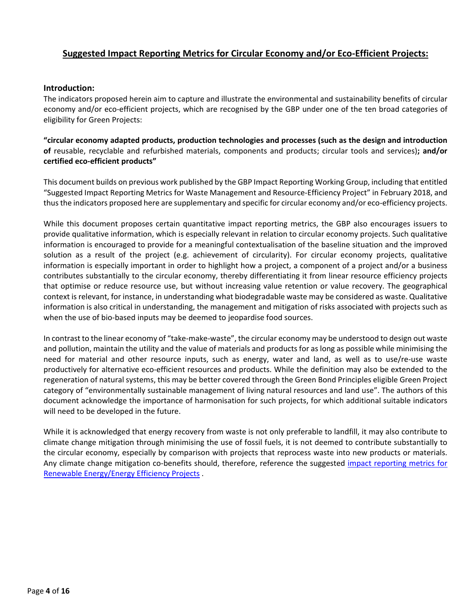# **Suggested Impact Reporting Metrics for Circular Economy and/or Eco-Efficient Projects:**

#### **Introduction:**

The indicators proposed herein aim to capture and illustrate the environmental and sustainability benefits of circular economy and/or eco-efficient projects, which are recognised by the GBP under one of the ten broad categories of eligibility for Green Projects:

**"circular economy adapted products, production technologies and processes (such as the design and introduction of** reusable, recyclable and refurbished materials, components and products; circular tools and services)**; and/or certified eco-efficient products"**

This document builds on previous work published by the GBP Impact Reporting Working Group, including that entitled "Suggested Impact Reporting Metrics for Waste Management and Resource-Efficiency Project" in February 2018, and thus the indicators proposed here are supplementary and specific for circular economy and/or eco-efficiency projects.

While this document proposes certain quantitative impact reporting metrics, the GBP also encourages issuers to provide qualitative information, which is especially relevant in relation to circular economy projects. Such qualitative information is encouraged to provide for a meaningful contextualisation of the baseline situation and the improved solution as a result of the project (e.g. achievement of circularity). For circular economy projects, qualitative information is especially important in order to highlight how a project, a component of a project and/or a business contributes substantially to the circular economy, thereby differentiating it from linear resource efficiency projects that optimise or reduce resource use, but without increasing value retention or value recovery. The geographical context is relevant, for instance, in understanding what biodegradable waste may be considered as waste. Qualitative information is also critical in understanding, the management and mitigation of risks associated with projects such as when the use of bio-based inputs may be deemed to jeopardise food sources.

In contrast to the linear economy of "take-make-waste", the circular economy may be understood to design out waste and pollution, maintain the utility and the value of materials and products for as long as possible while minimising the need for material and other resource inputs, such as energy, water and land, as well as to use/re-use waste productively for alternative eco-efficient resources and products. While the definition may also be extended to the regeneration of natural systems, this may be better covered through the Green Bond Principles eligible Green Project category of "environmentally sustainable management of living natural resources and land use". The authors of this document acknowledge the importance of harmonisation for such projects, for which additional suitable indicators will need to be developed in the future.

While it is acknowledged that energy recovery from waste is not only preferable to landfill, it may also contribute to climate change mitigation through minimising the use of fossil fuels, it is not deemed to contribute substantially to the circular economy, especially by comparison with projects that reprocess waste into new products or materials. Any climate change mitigation co-benefits should, therefore, reference the suggested [impact reporting metrics for](https://www.icmagroup.org/sustainable-finance/impact-reporting/)  [Renewable Energy/Energy Efficiency Projects](https://www.icmagroup.org/sustainable-finance/impact-reporting/) .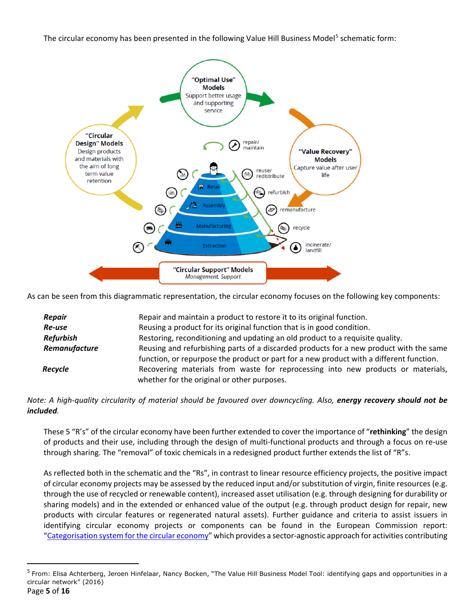The circular economy has been presented in the following Value Hill Business Model<sup>[5](#page-4-0)</sup> schematic form:



As can be seen from this diagrammatic representation, the circular economy focuses on the following key components:

| Repair           | Repair and maintain a product to restore it to its original function.                   |
|------------------|-----------------------------------------------------------------------------------------|
| Re-use           | Reusing a product for its original function that is in good condition.                  |
| <b>Refurbish</b> | Restoring, reconditioning and updating an old product to a requisite quality.           |
| Remanufacture    | Reusing and refurbishing parts of a discarded products for a new product with the same  |
|                  | function, or repurpose the product or part for a new product with a different function. |
| Recycle          | Recovering materials from waste for reprocessing into new products or materials,        |
|                  | whether for the original or other purposes.                                             |

# *Note: A high-quality circularity of material should be favoured over downcycling. Also, energy recovery should not be included.*

These 5 "R's" of the circular economy have been further extended to cover the importance of "**rethinking**" the design of products and their use, including through the design of multi-functional products and through a focus on re-use through sharing. The "removal" of toxic chemicals in a redesigned product further extends the list of "R"s.

As reflected both in the schematic and the "Rs", in contrast to linear resource efficiency projects, the positive impact of circular economy projects may be assessed by the reduced input and/or substitution of virgin, finite resources (e.g. through the use of recycled or renewable content), increased asset utilisation (e.g. through designing for durability or sharing models) and in the extended or enhanced value of the output (e.g. through product design for repair, new products with circular features or regenerated natural assets). Further guidance and criteria to assist issuers in identifying circular economy projects or components can be found in the European Commission report: ["Categorisation system for the circular economy"](https://op.europa.eu/en/publication-detail/-/publication/ca9846a8-6289-11ea-b735-01aa75ed71a1) which provides a sector-agnostic approach for activities contributing

<span id="page-4-0"></span><sup>&</sup>lt;sup>5</sup> From: Elisa Achterberg, Jeroen Hinfelaar, Nancy Bocken, "The Value Hill Business Model Tool: identifying gaps and opportunities in a circular network" (2016)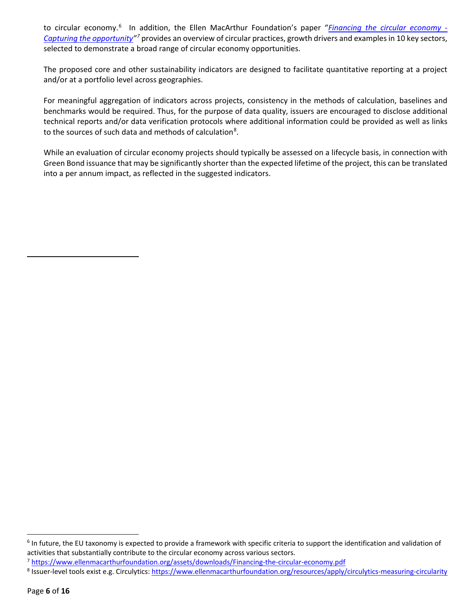to circular economy.<sup>[6](#page-5-0)</sup> In addition, the Ellen MacArthur Foundation's paper "*[Financing the circular economy -](https://www.ellenmacarthurfoundation.org/assets/downloads/Financing-the-circular-economy.pdf) [Capturing the opportunity"](https://www.ellenmacarthurfoundation.org/assets/downloads/Financing-the-circular-economy.pdf)[7](#page-5-1)* provides an overview of circular practices, growth drivers and examples in 10 key sectors, selected to demonstrate a broad range of circular economy opportunities.

The proposed core and other sustainability indicators are designed to facilitate quantitative reporting at a project and/or at a portfolio level across geographies.

For meaningful aggregation of indicators across projects, consistency in the methods of calculation, baselines and benchmarks would be required. Thus, for the purpose of data quality, issuers are encouraged to disclose additional technical reports and/or data verification protocols where additional information could be provided as well as links to the sources of such data and methods of calculation $8$ .

While an evaluation of circular economy projects should typically be assessed on a lifecycle basis, in connection with Green Bond issuance that may be significantly shorter than the expected lifetime of the project, this can be translated into a per annum impact, as reflected in the suggested indicators.

<span id="page-5-0"></span><sup>&</sup>lt;sup>6</sup> In future, the EU taxonomy is expected to provide a framework with specific criteria to support the identification and validation of activities that substantially contribute to the circular economy across various sectors.

<span id="page-5-1"></span><sup>7</sup> <https://www.ellenmacarthurfoundation.org/assets/downloads/Financing-the-circular-economy.pdf>

<span id="page-5-2"></span><sup>8</sup> Issuer-level tools exist e.g. Circulytics[: https://www.ellenmacarthurfoundation.org/resources/apply/circulytics-measuring-circularity](https://www.ellenmacarthurfoundation.org/resources/apply/circulytics-measuring-circularity)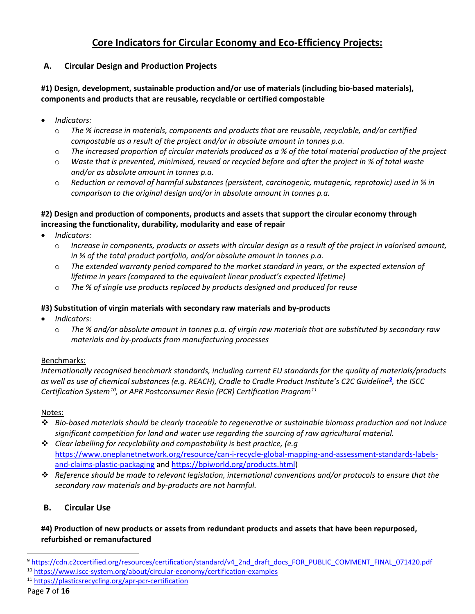# **Core Indicators for Circular Economy and Eco-Efficiency Projects:**

# **A. Circular Design and Production Projects**

# **#1) Design, development, sustainable production and/or use of materials (including bio-based materials), components and products that are reusable, recyclable or certified compostable**

- *Indicators:*
	- o *The % increase in materials, components and products that are reusable, recyclable, and/or certified compostable as a result of the project and/or in absolute amount in tonnes p.a.*
	- o *The increased proportion of circular materials produced as a % of the total material production of the project*
	- o *Waste that is prevented, minimised, reused or recycled before and after the project in % of total waste and/or as absolute amount in tonnes p.a.*
	- o *Reduction or removal of harmful substances (persistent, carcinogenic, mutagenic, reprotoxic) used in % in comparison to the original design and/or in absolute amount in tonnes p.a.*

## **#2) Design and production of components, products and assets that support the circular economy through increasing the functionality, durability, modularity and ease of repair**

- *Indicators:*
	- o *Increase in components, products or assets with circular design as a result of the project in valorised amount, in % of the total product portfolio, and/or absolute amount in tonnes p.a.*
	- o *The extended warranty period compared to the market standard in years, or the expected extension of lifetime in years (compared to the equivalent linear product's expected lifetime)*
	- o *The % of single use products replaced by products designed and produced for reuse*

#### **#3) Substitution of virgin materials with secondary raw materials and by-products**

- *Indicators:*
	- o *The % and/or absolute amount in tonnes p.a. of virgin raw materials that are substituted by secondary raw materials and by-products from manufacturing processes*

## Benchmarks:

*Internationally recognised benchmark standards, including current EU standards for the quality of materials/products as well as use of chemical substances (e.g. REACH), Cradle to Cradle Product Institute's C2C Guideline***[9](#page-6-0)** *, the ISCC Certification System[10](#page-6-1), or APR Postconsumer Resin (PCR) Certification Program[11](#page-6-2)*

#### Notes:

- *Bio-based materials should be clearly traceable to regenerative or sustainable biomass production and not induce significant competition for land and water use regarding the sourcing of raw agricultural material.*
- *Clear labelling for recyclability and compostability is best practice, (e.g*  [https://www.oneplanetnetwork.org/resource/can-i-recycle-global-mapping-and-assessment-standards-labels](https://www.oneplanetnetwork.org/resource/can-i-recycle-global-mapping-and-assessment-standards-labels-and-claims-plastic-packaging)[and-claims-plastic-packaging](https://www.oneplanetnetwork.org/resource/can-i-recycle-global-mapping-and-assessment-standards-labels-and-claims-plastic-packaging) and [https://bpiworld.org/products.html\)](https://bpiworld.org/products.html)
- *Reference should be made to relevant legislation, international conventions and/or protocols to ensure that the secondary raw materials and by-products are not harmful.*

# **B. Circular Use**

## **#4) Production of new products or assets from redundant products and assets that have been repurposed, refurbished or remanufactured**

<span id="page-6-2"></span>

<span id="page-6-1"></span><span id="page-6-0"></span><sup>9</sup> [https://cdn.c2ccertified.org/resources/certification/standard/v4\\_2nd\\_draft\\_docs\\_FOR\\_PUBLIC\\_COMMENT\\_FINAL\\_071420.pdf](https://cdn.c2ccertified.org/resources/certification/standard/v4_2nd_draft_docs_FOR_PUBLIC_COMMENT_FINAL_071420.pdf) <sup>10</sup> <https://www.iscc-system.org/about/circular-economy/certification-examples>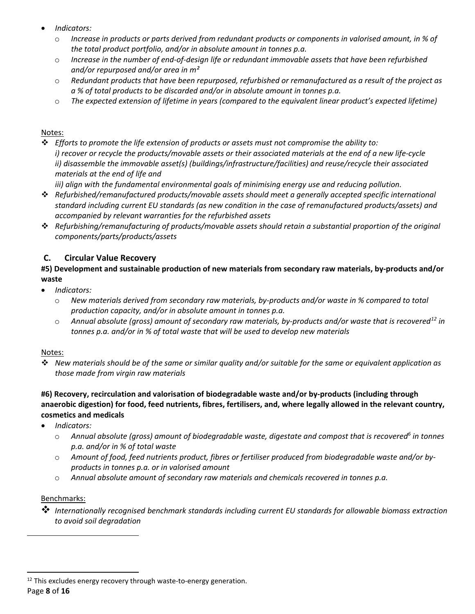- *Indicators:*
	- o *Increase in products or parts derived from redundant products or components in valorised amount, in % of the total product portfolio, and/or in absolute amount in tonnes p.a.*
	- o *Increase in the number of end-of-design life or redundant immovable assets that have been refurbished and/or repurposed and/or area in m²*
	- o *Redundant products that have been repurposed, refurbished or remanufactured as a result of the project as a % of total products to be discarded and/or in absolute amount in tonnes p.a.*
	- o *The expected extension of lifetime in years (compared to the equivalent linear product's expected lifetime)*

## Notes:

 *Efforts to promote the life extension of products or assets must not compromise the ability to: i) recover or recycle the products/movable assets or their associated materials at the end of a new life-cycle ii) disassemble the immovable asset(s) (buildings/infrastructure/facilities) and reuse/recycle their associated materials at the end of life and*

*iii) align with the fundamental environmental goals of minimising energy use and reducing pollution.*

- *Refurbished/remanufactured products/movable assets should meet a generally accepted specific international standard including current EU standards (as new condition in the case of remanufactured products/assets) and accompanied by relevant warranties for the refurbished assets*
- *Refurbishing/remanufacturing of products/movable assets should retain a substantial proportion of the original components/parts/products/assets*

# **C. Circular Value Recovery**

# **#5) Development and sustainable production of new materials from secondary raw materials, by-products and/or waste**

- *Indicators:*
	- o *New materials derived from secondary raw materials, by-products and/or waste in % compared to total production capacity, and/or in absolute amount in tonnes p.a.*
	- o *Annual absolute (gross) amount of secondary raw materials, by-products and/or waste that is recovered[12](#page-7-0) in tonnes p.a. and/or in % of total waste that will be used to develop new materials*

## Notes:

 *New materials should be of the same or similar quality and/or suitable for the same or equivalent application as those made from virgin raw materials*

# **#6) Recovery, recirculation and valorisation of biodegradable waste and/or by-products (including through anaerobic digestion) for food, feed nutrients, fibres, fertilisers, and, where legally allowed in the relevant country, cosmetics and medicals**

- *Indicators:*
	- o *Annual absolute (gross) amount of biodegradable waste, digestate and compost that is recovered6 in tonnes p.a. and/or in % of total waste*
	- o *Amount of food, feed nutrients product, fibres or fertiliser produced from biodegradable waste and/or byproducts in tonnes p.a. or in valorised amount*
	- o *Annual absolute amount of secondary raw materials and chemicals recovered in tonnes p.a.*

# Benchmarks:

 *Internationally recognised benchmark standards including current EU standards for allowable biomass extraction to avoid soil degradation*

<span id="page-7-0"></span> $12$  This excludes energy recovery through waste-to-energy generation.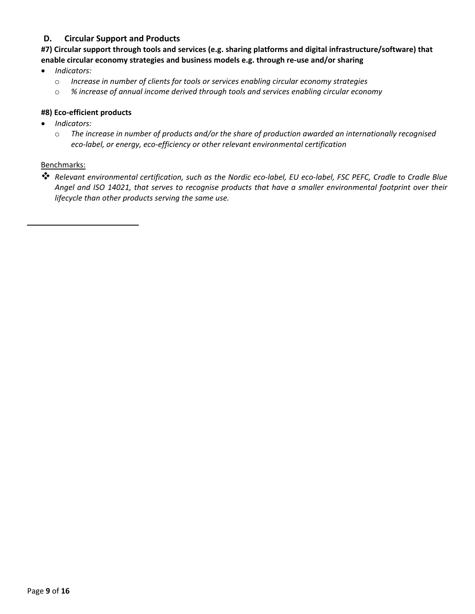# **D. Circular Support and Products**

**#7) Circular support through tools and services (e.g. sharing platforms and digital infrastructure/software) that enable circular economy strategies and business models e.g. through re-use and/or sharing**

- *Indicators:*
	- o *Increase in number of clients for tools or services enabling circular economy strategies*
	- o *% increase of annual income derived through tools and services enabling circular economy*

#### **#8) Eco-efficient products**

- *Indicators:*
	- o *The increase in number of products and/or the share of production awarded an internationally recognised eco-label, or energy, eco-efficiency or other relevant environmental certification*

#### Benchmarks:

 *Relevant environmental certification, such as the Nordic eco-label, EU eco-label, FSC PEFC, Cradle to Cradle Blue Angel and ISO 14021, that serves to recognise products that have a smaller environmental footprint over their lifecycle than other products serving the same use.*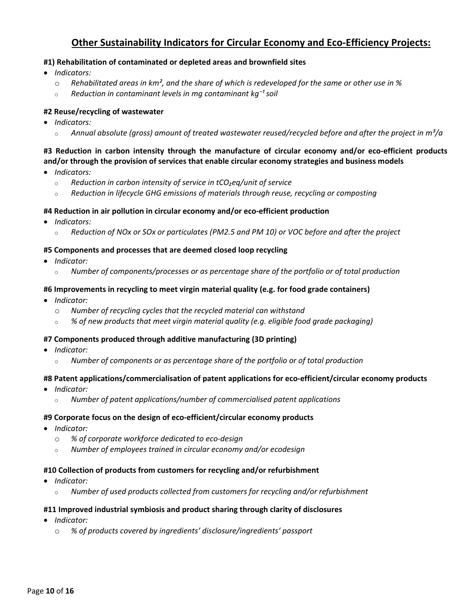# **Other Sustainability Indicators for Circular Economy and Eco-Efficiency Projects:**

#### **#1) Rehabilitation of contaminated or depleted areas and brownfield sites**

- *Indicators:*
	- o *Rehabilitated areas in km², and the share of which is redeveloped for the same or other use in %*
	- <sup>o</sup> *Reduction in contaminant levels in mg contaminant kg⁻¹ soil*

#### **#2 Reuse/recycling of wastewater**

- *Indicators:*
	- <sup>o</sup> *Annual absolute (gross) amount of treated wastewater reused/recycled before and after the project in m³/a*

# **#3 Reduction in carbon intensity through the manufacture of circular economy and/or eco-efficient products and/or through the provision of services that enable circular economy strategies and business models**

- *Indicators:*
	- <sup>o</sup> *Reduction in carbon intensity of service in tCO₂eq/unit of service*
	- <sup>o</sup> *Reduction in lifecycle GHG emissions of materials through reuse, recycling or composting*

#### **#4 Reduction in air pollution in circular economy and/or eco-efficient production**

- *Indicators:*
	- <sup>o</sup> *Reduction of NOx or SOx or particulates (PM2.5 and PM 10) or VOC before and after the project*

#### **#5 Components and processes that are deemed closed loop recycling**

- *Indicator:*
	- <sup>o</sup> *Number of components/processes or as percentage share of the portfolio or of total production*

#### **#6 Improvements in recycling to meet virgin material quality (e.g. for food grade containers)**

- *Indicator:*
	- o *Number of recycling cycles that the recycled material can withstand*
	- <sup>o</sup> *% of new products that meet virgin material quality (e.g. eligible food grade packaging)*

#### **#7 Components produced through additive manufacturing (3D printing)**

- *Indicator:*
	- <sup>o</sup> *Number of components or as percentage share of the portfolio or of total production*

#### **#8 Patent applications/commercialisation of patent applications for eco-efficient/circular economy products**

- *Indicator:*
	- <sup>o</sup> *Number of patent applications/number of commercialised patent applications*

#### **#9 Corporate focus on the design of eco-efficient/circular economy products**

- *Indicator:*
	- o *% of corporate workforce dedicated to eco-design*
	- <sup>o</sup> *Number of employees trained in circular economy and/or ecodesign*

#### **#10 Collection of products from customers for recycling and/or refurbishment**

- *Indicator:*
	- <sup>o</sup> *Number of used products collected from customers for recycling and/or refurbishment*

#### **#11 Improved industrial symbiosis and product sharing through clarity of disclosures**

- *Indicator:*
	- o *% of products covered by ingredients' disclosure/ingredients' passport*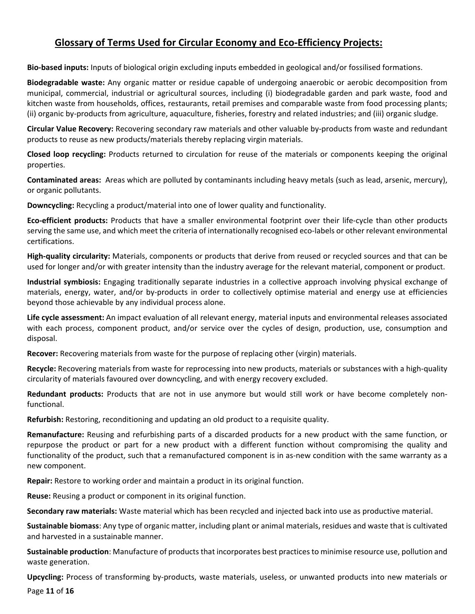# **Glossary of Terms Used for Circular Economy and Eco-Efficiency Projects:**

**Bio-based inputs:** Inputs of biological origin excluding inputs embedded in geological and/or fossilised formations.

**Biodegradable waste:** Any organic matter or residue capable of undergoing anaerobic or aerobic decomposition from municipal, commercial, industrial or agricultural sources, including (i) biodegradable garden and park waste, food and kitchen waste from households, offices, restaurants, retail premises and comparable waste from food processing plants; (ii) organic by-products from agriculture, aquaculture, fisheries, forestry and related industries; and (iii) organic sludge.

**Circular Value Recovery:** Recovering secondary raw materials and other valuable by-products from waste and redundant products to reuse as new products/materials thereby replacing virgin materials.

**Closed loop recycling:** Products returned to circulation for reuse of the materials or components keeping the original properties.

**Contaminated areas:** Areas which are polluted by contaminants including heavy metals (such as lead, arsenic, mercury), or organic pollutants.

**Downcycling:** Recycling a product/material into one of lower quality and functionality.

**Eco-efficient products:** Products that have a smaller environmental footprint over their life-cycle than other products serving the same use, and which meet the criteria of internationally recognised eco-labels or other relevant environmental certifications.

**High-quality circularity:** Materials, components or products that derive from reused or recycled sources and that can be used for longer and/or with greater intensity than the industry average for the relevant material, component or product.

**Industrial symbiosis:** Engaging traditionally separate industries in a collective approach involving physical exchange of materials, energy, water, and/or by-products in order to collectively optimise material and energy use at efficiencies beyond those achievable by any individual process alone.

**Life cycle assessment:** An impact evaluation of all relevant energy, material inputs and environmental releases associated with each process, component product, and/or service over the cycles of design, production, use, consumption and disposal.

**Recover:** Recovering materials from waste for the purpose of replacing other (virgin) materials.

**Recycle:** Recovering materials from waste for reprocessing into new products, materials or substances with a high-quality circularity of materials favoured over downcycling, and with energy recovery excluded.

**Redundant products:** Products that are not in use anymore but would still work or have become completely nonfunctional.

**Refurbish:** Restoring, reconditioning and updating an old product to a requisite quality.

**Remanufacture:** Reusing and refurbishing parts of a discarded products for a new product with the same function, or repurpose the product or part for a new product with a different function without compromising the quality and functionality of the product, such that a remanufactured component is in as-new condition with the same warranty as a new component.

**Repair:** Restore to working order and maintain a product in its original function.

**Reuse:** Reusing a product or component in its original function.

**Secondary raw materials:** Waste material which has been recycled and injected back into use as productive material.

**Sustainable biomass**: Any type of organic matter, including plant or animal materials, residues and waste that is cultivated and harvested in a sustainable manner.

**Sustainable production**: Manufacture of products that incorporates best practices to minimise resource use, pollution and waste generation.

Page **11** of **16 Upcycling:** Process of transforming by-products, waste materials, useless, or unwanted products into new materials or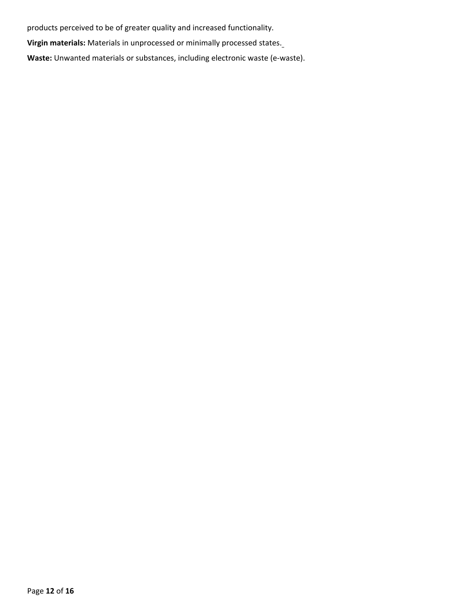products perceived to be of greater quality and increased functionality.

**Virgin materials:** Materials in unprocessed or minimally processed states.

**Waste:** Unwanted materials or substances, including electronic waste (e-waste).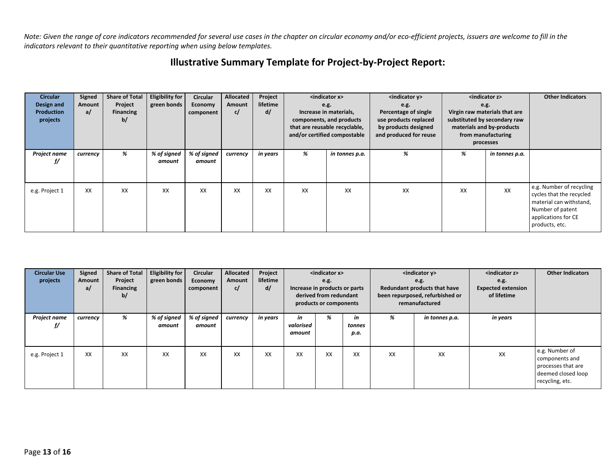*Note: Given the range of core indicators recommended for several use cases in the chapter on circular economy and/or eco-efficient projects, issuers are welcome to fill in the indicators relevant to their quantitative reporting when using below templates.*

| Illustrative Summary Template for Project-by-Project Report: |  |  |  |
|--------------------------------------------------------------|--|--|--|
|--------------------------------------------------------------|--|--|--|

| <indicator z=""></indicator>  | <b>Other Indicators</b>  |
|-------------------------------|--------------------------|
| e.g.                          |                          |
| Virgin raw materials that are |                          |
| substituted by secondary raw  |                          |
| materials and by-products     |                          |
| from manufacturing            |                          |
| processes                     |                          |
| in tonnes p.a.                |                          |
|                               |                          |
|                               |                          |
|                               |                          |
|                               | e.g. Number of recycling |
|                               | cycles that the recycled |
|                               | material can withstand,  |
|                               | Number of patent         |
|                               | applications for CE      |
|                               | products, etc.           |
|                               | XX                       |

| <b>Circular Use</b><br>projects | Signed<br>Amount<br>a/ | <b>Share of Total</b><br>Project<br><b>Financing</b><br>b/ | <b>Eligibility for</b><br>green bonds | <b>Circular</b><br><b>Economy</b><br>component | <b>Allocated</b><br>Amount<br>c/ | Project<br>lifetime<br>d/ |                           | <indicator x=""><br/>e.g.<br/>Increase in products or parts<br/>derived from redundant<br/>products or components</indicator> |                      | <indicator y=""><br/>e.g.<br/>Redundant products that have<br/>been repurposed, refurbished or<br/>remanufactured</indicator> |                | <indicator z=""><br/>e.g.<br/><b>Expected extension</b><br/>of lifetime</indicator> | <b>Other Indicators</b>                                                                         |
|---------------------------------|------------------------|------------------------------------------------------------|---------------------------------------|------------------------------------------------|----------------------------------|---------------------------|---------------------------|-------------------------------------------------------------------------------------------------------------------------------|----------------------|-------------------------------------------------------------------------------------------------------------------------------|----------------|-------------------------------------------------------------------------------------|-------------------------------------------------------------------------------------------------|
| Project name<br>f/              | currency               | %                                                          | % of signed<br>amount                 | % of signed<br>amount                          | currency                         | in years                  | in<br>valorised<br>amount | %                                                                                                                             | in<br>tonnes<br>p.a. | %                                                                                                                             | in tonnes p.a. | in years                                                                            |                                                                                                 |
| e.g. Project 1                  | XX                     | XX                                                         | XX                                    | XX                                             | XX                               | XX                        | XX                        | XX                                                                                                                            | XX                   | XX                                                                                                                            | XX             | XX                                                                                  | e.g. Number of<br>components and<br>processes that are<br>deemed closed loop<br>recycling, etc. |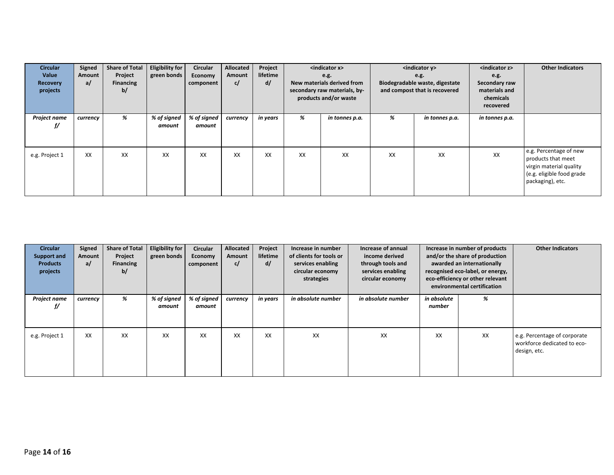| <b>Circular</b><br>Value<br>Recovery<br>projects | Signed<br>Amount<br>a/ | <b>Share of Total</b><br>Project<br><b>Financing</b><br>b/ | <b>Eligibility for</b><br>green bonds | Circular<br>Economy<br>component | Allocated<br>Amount<br>c/ | Project<br>lifetime<br>d/ |    | <indicator x=""><br/>e.g.<br/>New materials derived from<br/>secondary raw materials, by-<br/>products and/or waste</indicator> |    | <indicator y=""><br/>e.g.<br/>Biodegradable waste, digestate<br/>and compost that is recovered</indicator> | <indicator z=""><br/>e.g.<br/>Secondary raw<br/>materials and<br/>chemicals<br/>recovered</indicator> | <b>Other Indicators</b>                                                                                                  |
|--------------------------------------------------|------------------------|------------------------------------------------------------|---------------------------------------|----------------------------------|---------------------------|---------------------------|----|---------------------------------------------------------------------------------------------------------------------------------|----|------------------------------------------------------------------------------------------------------------|-------------------------------------------------------------------------------------------------------|--------------------------------------------------------------------------------------------------------------------------|
| Project name<br>∬                                | currency               | %                                                          | % of signed<br>amount                 | % of signed<br>amount            | currency                  | in years                  | %  | in tonnes p.a.                                                                                                                  | %  | in tonnes p.a.                                                                                             | in tonnes p.a.                                                                                        |                                                                                                                          |
| e.g. Project 1                                   | XX                     | XX                                                         | XX                                    | XX                               | XX                        | XX                        | XX | XX                                                                                                                              | XX | XX                                                                                                         | XX                                                                                                    | e.g. Percentage of new<br>products that meet<br>virgin material quality<br>(e.g. eligible food grade<br>packaging), etc. |

| <b>Circular</b><br>Support and<br><b>Products</b><br>projects | Signed<br>Amount<br>a/ | <b>Share of Total</b><br>Project<br><b>Financing</b><br>b/ | <b>Eligibility for</b><br>green bonds | Circular<br><b>Economy</b><br>component | Allocated<br>Amount<br>c/ | Project<br>lifetime<br>d/ | Increase in number<br>of clients for tools or<br>services enabling<br>circular economy<br>strategies | Increase of annual<br>income derived<br>through tools and<br>services enabling<br>circular economy |                       | Increase in number of products<br>and/or the share of production<br>awarded an internationally<br>recognised eco-label, or energy,<br>eco-efficiency or other relevant<br>environmental certification | <b>Other Indicators</b>                                                     |
|---------------------------------------------------------------|------------------------|------------------------------------------------------------|---------------------------------------|-----------------------------------------|---------------------------|---------------------------|------------------------------------------------------------------------------------------------------|----------------------------------------------------------------------------------------------------|-----------------------|-------------------------------------------------------------------------------------------------------------------------------------------------------------------------------------------------------|-----------------------------------------------------------------------------|
| Project name<br>f/                                            | currency               | %                                                          | % of signed<br>amount                 | % of signed<br>amount                   | currency                  | in years                  | in absolute number                                                                                   | in absolute number                                                                                 | in absolute<br>number | %                                                                                                                                                                                                     |                                                                             |
| e.g. Project 1                                                | XX                     | XX                                                         | XX                                    | XX                                      | XX                        | XX                        | XX                                                                                                   | XX                                                                                                 | XX                    | XX                                                                                                                                                                                                    | e.g. Percentage of corporate<br>workforce dedicated to eco-<br>design, etc. |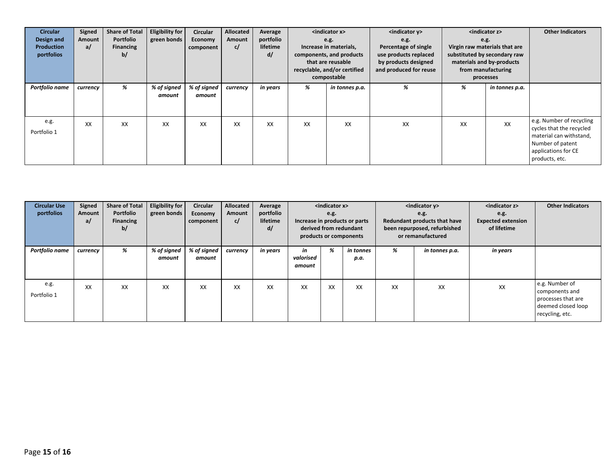| <b>Circular</b><br>Design and<br><b>Production</b><br>portfolios | Signed<br>Amount<br>a/ | <b>Share of Total</b><br>Portfolio<br><b>Financing</b><br>b/ | <b>Eligibility for</b><br>green bonds | <b>Circular</b><br>Economy<br>component | Allocated<br>Amount<br>c/ | Average<br>portfolio<br>lifetime<br>d/ |    | <indicator x=""><br/>e.g.<br/>e.g.<br/>Increase in materials,<br/>components, and products<br/>that are reusable<br/>recyclable, and/or certified<br/>compostable</indicator> |    | $\sim$ indicator y><br><indicator z=""><br/>e.g.<br/>Virgin raw materials that are<br/>Percentage of single<br/>use products replaced<br/>substituted by secondary raw<br/>by products designed<br/>materials and by-products<br/>and produced for reuse<br/>from manufacturing<br/>processes</indicator> |                | <b>Other Indicators</b>                                                                                                                      |
|------------------------------------------------------------------|------------------------|--------------------------------------------------------------|---------------------------------------|-----------------------------------------|---------------------------|----------------------------------------|----|-------------------------------------------------------------------------------------------------------------------------------------------------------------------------------|----|-----------------------------------------------------------------------------------------------------------------------------------------------------------------------------------------------------------------------------------------------------------------------------------------------------------|----------------|----------------------------------------------------------------------------------------------------------------------------------------------|
| Portfolio name                                                   | currency               | %                                                            | % of signed<br>amount                 | % of signed<br>amount                   | currency                  | in years                               | %  | in tonnes p.a.                                                                                                                                                                | %  | %                                                                                                                                                                                                                                                                                                         | in tonnes p.a. |                                                                                                                                              |
| e.g.<br>Portfolio 1                                              | XX                     | XX                                                           | XX                                    | XX                                      | XX                        | XX                                     | XX | XX                                                                                                                                                                            | XX | XX                                                                                                                                                                                                                                                                                                        | XX             | e.g. Number of recycling<br>cycles that the recycled<br>material can withstand,<br>Number of patent<br>applications for CE<br>products, etc. |

| <b>Circular Use</b><br>portfolios | Signed<br>Amount<br>a/ | Share of Total<br>Portfolio<br><b>Financing</b><br>b/ | Eligibility for<br>green bonds | <b>Circular</b><br>Economy<br>component | <b>Allocated</b><br>Amount<br>c/ | Average<br>portfolio<br>lifetime<br>d/ |                           | <indicator x=""><br/>e.g.<br/>Increase in products or parts<br/>derived from redundant<br/>products or components</indicator> |                   | <indicator y=""><br/>e.g.<br/><b>Redundant products that have</b><br/>been repurposed, refurbished<br/>or remanufactured</indicator> |                | <indicator z=""><br/>e.g.<br/><b>Expected extension</b><br/>of lifetime</indicator> | <b>Other Indicators</b>                                                                         |
|-----------------------------------|------------------------|-------------------------------------------------------|--------------------------------|-----------------------------------------|----------------------------------|----------------------------------------|---------------------------|-------------------------------------------------------------------------------------------------------------------------------|-------------------|--------------------------------------------------------------------------------------------------------------------------------------|----------------|-------------------------------------------------------------------------------------|-------------------------------------------------------------------------------------------------|
| Portfolio name                    | currency               | %                                                     | % of signed<br>amount          | % of signed<br>amount                   | currency                         | in years                               | in<br>valorised<br>amount | %                                                                                                                             | in tonnes<br>p.a. | %                                                                                                                                    | in tonnes p.a. | in years                                                                            |                                                                                                 |
| e.g.<br>Portfolio 1               | XX                     | XX                                                    | XX                             | XX                                      | XX                               | XX                                     | XX                        | XX                                                                                                                            | XX                | XX                                                                                                                                   | XX             | XX                                                                                  | e.g. Number of<br>components and<br>processes that are<br>deemed closed loop<br>recycling, etc. |